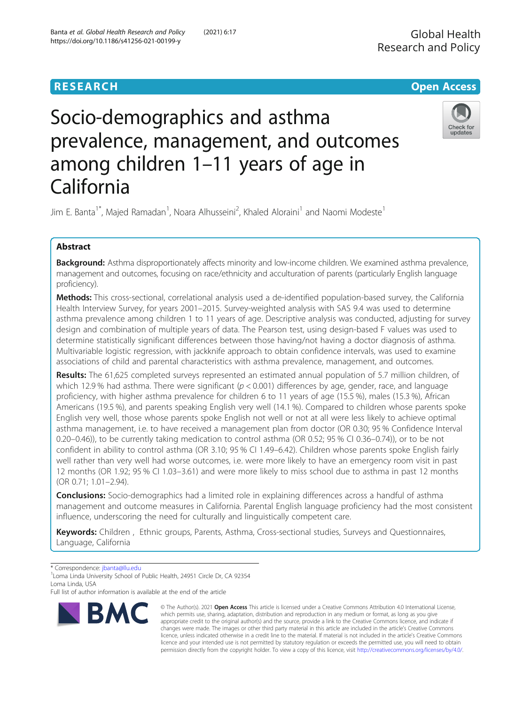# **RESEARCH CHE Open Access**

# Socio-demographics and asthma prevalence, management, and outcomes among children 1–11 years of age in California



Jim E. Banta<sup>1\*</sup>, Majed Ramadan<sup>1</sup>, Noara Alhusseini<sup>2</sup>, Khaled Aloraini<sup>1</sup> and Naomi Modeste<sup>1</sup>

# Abstract

Background: Asthma disproportionately affects minority and low-income children. We examined asthma prevalence, management and outcomes, focusing on race/ethnicity and acculturation of parents (particularly English language proficiency).

Methods: This cross-sectional, correlational analysis used a de-identified population-based survey, the California Health Interview Survey, for years 2001–2015. Survey-weighted analysis with SAS 9.4 was used to determine asthma prevalence among children 1 to 11 years of age. Descriptive analysis was conducted, adjusting for survey design and combination of multiple years of data. The Pearson test, using design-based F values was used to determine statistically significant differences between those having/not having a doctor diagnosis of asthma. Multivariable logistic regression, with jackknife approach to obtain confidence intervals, was used to examine associations of child and parental characteristics with asthma prevalence, management, and outcomes.

Results: The 61,625 completed surveys represented an estimated annual population of 5.7 million children, of which 12.9 % had asthma. There were significant ( $p < 0.001$ ) differences by age, gender, race, and language proficiency, with higher asthma prevalence for children 6 to 11 years of age (15.5 %), males (15.3 %), African Americans (19.5 %), and parents speaking English very well (14.1 %). Compared to children whose parents spoke English very well, those whose parents spoke English not well or not at all were less likely to achieve optimal asthma management, i.e. to have received a management plan from doctor (OR 0.30; 95 % Confidence Interval 0.20–0.46)), to be currently taking medication to control asthma (OR 0.52; 95 % CI 0.36–0.74)), or to be not confident in ability to control asthma (OR 3.10; 95 % CI 1.49–6.42). Children whose parents spoke English fairly well rather than very well had worse outcomes, i.e. were more likely to have an emergency room visit in past 12 months (OR 1.92; 95 % CI 1.03–3.61) and were more likely to miss school due to asthma in past 12 months (OR 0.71; 1.01–2.94).

**Conclusions:** Socio-demographics had a limited role in explaining differences across a handful of asthma management and outcome measures in California. Parental English language proficiency had the most consistent influence, underscoring the need for culturally and linguistically competent care.

Keywords: Children, Ethnic groups, Parents, Asthma, Cross-sectional studies, Surveys and Questionnaires, Language, California

\* Correspondence: [jbanta@llu.edu](mailto:jbanta@llu.edu) <sup>1</sup>

<sup>1</sup> Loma Linda University School of Public Health, 24951 Circle Dr, CA 92354 Loma Linda, USA

Full list of author information is available at the end of the article



© The Author(s). 2021 Open Access This article is licensed under a Creative Commons Attribution 4.0 International License, which permits use, sharing, adaptation, distribution and reproduction in any medium or format, as long as you give appropriate credit to the original author(s) and the source, provide a link to the Creative Commons licence, and indicate if changes were made. The images or other third party material in this article are included in the article's Creative Commons licence, unless indicated otherwise in a credit line to the material. If material is not included in the article's Creative Commons licence and your intended use is not permitted by statutory regulation or exceeds the permitted use, you will need to obtain permission directly from the copyright holder. To view a copy of this licence, visit [http://creativecommons.org/licenses/by/4.0/.](http://creativecommons.org/licenses/by/4.0/)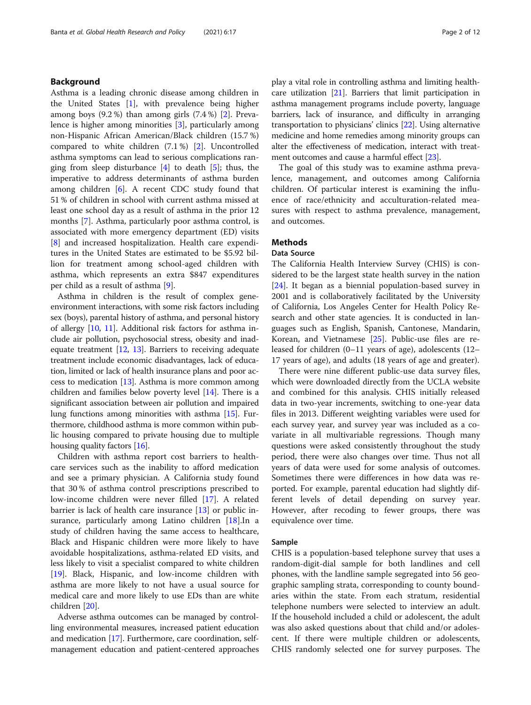#### Background

Asthma is a leading chronic disease among children in the United States [\[1](#page-10-0)], with prevalence being higher among boys  $(9.2\%)$  than among girls  $(7.4\%)$  [\[2](#page-10-0)]. Prevalence is higher among minorities [\[3](#page-10-0)], particularly among non-Hispanic African American/Black children (15.7 %) compared to white children (7.1 %) [\[2](#page-10-0)]. Uncontrolled asthma symptoms can lead to serious complications ranging from sleep disturbance  $[4]$  $[4]$  to death  $[5]$  $[5]$ ; thus, the imperative to address determinants of asthma burden among children [\[6](#page-10-0)]. A recent CDC study found that 51 % of children in school with current asthma missed at least one school day as a result of asthma in the prior 12 months [\[7](#page-10-0)]. Asthma, particularly poor asthma control, is associated with more emergency department (ED) visits [[8\]](#page-10-0) and increased hospitalization. Health care expenditures in the United States are estimated to be \$5.92 billion for treatment among school-aged children with asthma, which represents an extra \$847 expenditures per child as a result of asthma [\[9](#page-10-0)].

Asthma in children is the result of complex geneenvironment interactions, with some risk factors including sex (boys), parental history of asthma, and personal history of allergy [\[10](#page-10-0), [11\]](#page-10-0). Additional risk factors for asthma include air pollution, psychosocial stress, obesity and inadequate treatment  $[12, 13]$  $[12, 13]$  $[12, 13]$ . Barriers to receiving adequate treatment include economic disadvantages, lack of education, limited or lack of health insurance plans and poor access to medication  $[13]$ . Asthma is more common among children and families below poverty level [[14](#page-10-0)]. There is a significant association between air pollution and impaired lung functions among minorities with asthma [\[15\]](#page-10-0). Furthermore, childhood asthma is more common within public housing compared to private housing due to multiple housing quality factors [\[16\]](#page-10-0).

Children with asthma report cost barriers to healthcare services such as the inability to afford medication and see a primary physician. A California study found that 30 % of asthma control prescriptions prescribed to low-income children were never filled [[17\]](#page-10-0). A related barrier is lack of health care insurance [\[13](#page-10-0)] or public in-surance, particularly among Latino children [\[18](#page-10-0)]. In a study of children having the same access to healthcare, Black and Hispanic children were more likely to have avoidable hospitalizations, asthma-related ED visits, and less likely to visit a specialist compared to white children [[19\]](#page-10-0). Black, Hispanic, and low-income children with asthma are more likely to not have a usual source for medical care and more likely to use EDs than are white children [\[20](#page-10-0)].

Adverse asthma outcomes can be managed by controlling environmental measures, increased patient education and medication [[17](#page-10-0)]. Furthermore, care coordination, selfmanagement education and patient-centered approaches play a vital role in controlling asthma and limiting healthcare utilization [[21](#page-10-0)]. Barriers that limit participation in asthma management programs include poverty, language barriers, lack of insurance, and difficulty in arranging transportation to physicians' clinics [[22\]](#page-10-0). Using alternative medicine and home remedies among minority groups can alter the effectiveness of medication, interact with treatment outcomes and cause a harmful effect [\[23\]](#page-10-0).

The goal of this study was to examine asthma prevalence, management, and outcomes among California children. Of particular interest is examining the influence of race/ethnicity and acculturation-related measures with respect to asthma prevalence, management, and outcomes.

#### Methods

#### Data Source

The California Health Interview Survey (CHIS) is considered to be the largest state health survey in the nation [[24\]](#page-10-0). It began as a biennial population-based survey in 2001 and is collaboratively facilitated by the University of California, Los Angeles Center for Health Policy Research and other state agencies. It is conducted in languages such as English, Spanish, Cantonese, Mandarin, Korean, and Vietnamese [[25](#page-10-0)]. Public-use files are released for children (0–11 years of age), adolescents (12– 17 years of age), and adults (18 years of age and greater).

There were nine different public-use data survey files, which were downloaded directly from the UCLA website and combined for this analysis. CHIS initially released data in two-year increments, switching to one-year data files in 2013. Different weighting variables were used for each survey year, and survey year was included as a covariate in all multivariable regressions. Though many questions were asked consistently throughout the study period, there were also changes over time. Thus not all years of data were used for some analysis of outcomes. Sometimes there were differences in how data was reported. For example, parental education had slightly different levels of detail depending on survey year. However, after recoding to fewer groups, there was equivalence over time.

#### Sample

CHIS is a population-based telephone survey that uses a random-digit-dial sample for both landlines and cell phones, with the landline sample segregated into 56 geographic sampling strata, corresponding to county boundaries within the state. From each stratum, residential telephone numbers were selected to interview an adult. If the household included a child or adolescent, the adult was also asked questions about that child and/or adolescent. If there were multiple children or adolescents, CHIS randomly selected one for survey purposes. The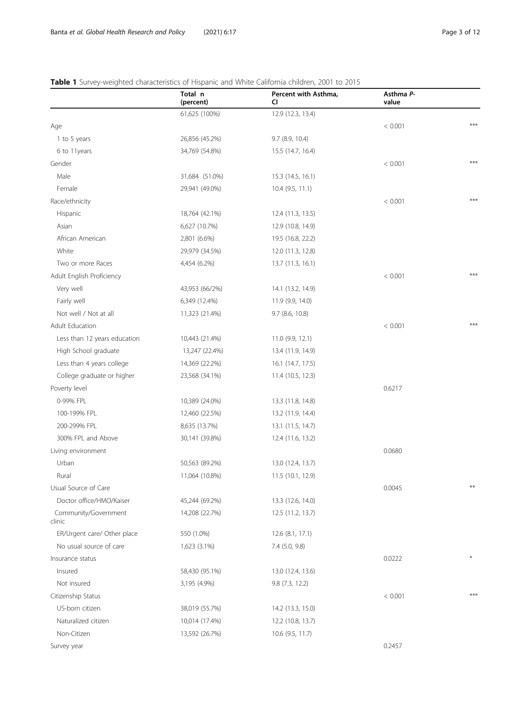# <span id="page-2-0"></span>Table 1 Survey-weighted characteristics of Hispanic and White California children, 2001 to 2015

|                                | Total n<br>(percent) | Percent with Asthma,<br>CI. | Asthma P-<br>value |     |
|--------------------------------|----------------------|-----------------------------|--------------------|-----|
|                                | 61,625 (100%)        | 12.9 (12.3, 13.4)           |                    |     |
| Age                            |                      |                             | < 0.001            | *** |
| 1 to 5 years                   | 26,856 (45.2%)       | 9.7 (8.9, 10.4)             |                    |     |
| 6 to 11years                   | 34,769 (54.8%)       | 15.5 (14.7, 16.4)           |                    |     |
| Gender                         |                      |                             | < 0.001            | *** |
| Male                           | 31,684 (51.0%)       | 15.3 (14.5, 16.1)           |                    |     |
| Female                         | 29,941 (49.0%)       | 10.4 (9.5, 11.1)            |                    |     |
| Race/ethnicity                 |                      |                             | < 0.001            | *** |
| Hispanic                       | 18,764 (42.1%)       | 12.4 (11.3, 13.5)           |                    |     |
| Asian                          | 6,627 (10.7%)        | 12.9 (10.8, 14.9)           |                    |     |
| African American               | 2,801 (6.6%)         | 19.5 (16.8, 22.2)           |                    |     |
| White                          | 29,979 (34.5%)       | 12.0 (11.3, 12.8)           |                    |     |
| Two or more Races              | 4,454 (6.2%)         | 13.7 (11.3, 16.1)           |                    |     |
| Adult English Proficiency      |                      |                             | < 0.001            | *** |
| Very well                      | 43,953 (66/2%)       | 14.1 (13.2, 14.9)           |                    |     |
| Fairly well                    | 6,349 (12.4%)        | 11.9 (9.9, 14.0)            |                    |     |
| Not well / Not at all          | 11,323 (21.4%)       | 9.7 (8.6, 10.8)             |                    |     |
| Adult Education                |                      |                             | < 0.001            | *** |
| Less than 12 years education   | 10,443 (21.4%)       | 11.0 (9.9, 12.1)            |                    |     |
| High School graduate           | 13,247 (22.4%)       | 13.4 (11.9, 14.9)           |                    |     |
| Less than 4 years college      | 14,369 (22.2%)       | 16.1 (14.7, 17.5)           |                    |     |
| College graduate or higher     | 23,568 (34.1%)       | 11.4 (10.5, 12.3)           |                    |     |
| Poverty level                  |                      |                             | 0.6217             |     |
| 0-99% FPL                      | 10,389 (24.0%)       | 13.3 (11.8, 14.8)           |                    |     |
| 100-199% FPL                   | 12,460 (22.5%)       | 13.2 (11.9, 14.4)           |                    |     |
| 200-299% FPL                   | 8,635 (13.7%)        | 13.1 (11.5, 14.7)           |                    |     |
| 300% FPL and Above             | 30,141 (39.8%)       | 12.4 (11.6, 13.2)           |                    |     |
| Living environment             |                      |                             | 0.0680             |     |
| Urban                          | 50,563 (89.2%)       | 13.0 (12.4, 13.7)           |                    |     |
| Rural                          | 11,064 (10.8%)       | 11.5 (10.1, 12.9)           |                    |     |
| Usual Source of Care           |                      |                             | 0.0045             |     |
| Doctor office/HMO/Kaiser       | 45,244 (69.2%)       | 13.3 (12.6, 14.0)           |                    |     |
| Community/Government<br>clinic | 14,208 (22.7%)       | 12.5 (11.2, 13.7)           |                    |     |
| ER/Urgent care/ Other place    | 550 (1.0%)           | 12.6 (8.1, 17.1)            |                    |     |
| No usual source of care        | 1,623 (3.1%)         | 7.4 (5.0, 9.8)              |                    |     |
| Insurance status               |                      |                             | 0.0222             |     |
| Insured                        | 58,430 (95.1%)       | 13.0 (12.4, 13.6)           |                    |     |
| Not insured                    | 3,195 (4.9%)         | 9.8 (7.3, 12.2)             |                    |     |
| Citizenship Status             |                      |                             | < 0.001            | *** |
| US-born citizen                | 38,019 (55.7%)       | 14.2 (13.3, 15.0)           |                    |     |
| Naturalized citizen            | 10,014 (17.4%)       | 12.2 (10.8, 13.7)           |                    |     |
| Non-Citizen                    | 13,592 (26.7%)       | 10.6 (9.5, 11.7)            |                    |     |
| Survey year                    |                      |                             | 0.2457             |     |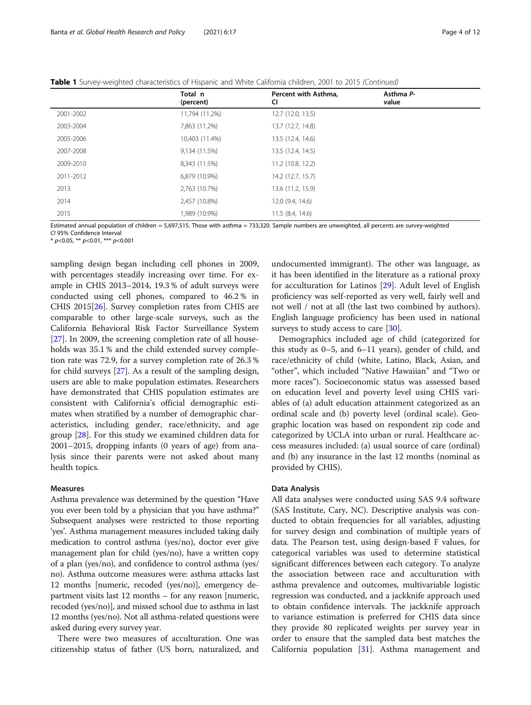Table 1 Survey-weighted characteristics of Hispanic and White California children, 2001 to 2015 (Continued)

|           | Total n<br>(percent) | Percent with Asthma,<br><b>CI</b> | Asthma P-<br>value |
|-----------|----------------------|-----------------------------------|--------------------|
| 2001-2002 | 11,794 (11.2%)       | 12.7 (12.0, 13.5)                 |                    |
| 2003-2004 | 7,863 (11.2%)        | 13.7 (12.7, 14.8)                 |                    |
| 2005-2006 | 10,403 (11.4%)       | 13.5 (12.4, 14.6)                 |                    |
| 2007-2008 | 9,134 (11.5%)        | 13.5 (12.4, 14.5)                 |                    |
| 2009-2010 | 8,343 (11.5%)        | 11.2 (10.8, 12.2)                 |                    |
| 2011-2012 | 6,879 (10.9%)        | 14.2 (12.7, 15.7)                 |                    |
| 2013      | 2,763 (10.7%)        | 13.6 (11.2, 15.9)                 |                    |
| 2014      | 2,457 (10.8%)        | 12.0 (9.4, 14.6)                  |                    |
| 2015      | 1,989 (10.9%)        | 11.5(8.4, 14.6)                   |                    |

Estimated annual population of children = 5,697,515. Those with asthma = 733,320. Sample numbers are unweighted, all percents are survey-weighted CI 95% Confidence Interval

 $*$  p<0.05,  $**$  p<0.01,  $***$  p<0.001

sampling design began including cell phones in 2009, with percentages steadily increasing over time. For example in CHIS 2013–2014, 19.3 % of adult surveys were conducted using cell phones, compared to 46.2 % in CHIS 2015[[26](#page-10-0)]. Survey completion rates from CHIS are comparable to other large-scale surveys, such as the California Behavioral Risk Factor Surveillance System [[27\]](#page-10-0). In 2009, the screening completion rate of all households was 35.1 % and the child extended survey completion rate was 72.9, for a survey completion rate of 26.3 % for child surveys [\[27](#page-10-0)]. As a result of the sampling design, users are able to make population estimates. Researchers have demonstrated that CHIS population estimates are consistent with California's official demographic estimates when stratified by a number of demographic characteristics, including gender, race/ethnicity, and age group [\[28\]](#page-10-0). For this study we examined children data for 2001–2015, dropping infants (0 years of age) from analysis since their parents were not asked about many health topics.

#### Measures

Asthma prevalence was determined by the question "Have you ever been told by a physician that you have asthma?" Subsequent analyses were restricted to those reporting 'yes'. Asthma management measures included taking daily medication to control asthma (yes/no), doctor ever give management plan for child (yes/no), have a written copy of a plan (yes/no), and confidence to control asthma (yes/ no). Asthma outcome measures were: asthma attacks last 12 months [numeric, recoded (yes/no)], emergency department visits last 12 months – for any reason [numeric, recoded (yes/no)], and missed school due to asthma in last 12 months (yes/no). Not all asthma-related questions were asked during every survey year.

There were two measures of acculturation. One was citizenship status of father (US born, naturalized, and

undocumented immigrant). The other was language, as it has been identified in the literature as a rational proxy for acculturation for Latinos [[29](#page-10-0)]. Adult level of English proficiency was self-reported as very well, fairly well and not well / not at all (the last two combined by authors). English language proficiency has been used in national surveys to study access to care  $[30]$  $[30]$ .

Demographics included age of child (categorized for this study as 0–5, and 6–11 years), gender of child, and race/ethnicity of child (white, Latino, Black, Asian, and "other", which included "Native Hawaiian" and "Two or more races"). Socioeconomic status was assessed based on education level and poverty level using CHIS variables of (a) adult education attainment categorized as an ordinal scale and (b) poverty level (ordinal scale). Geographic location was based on respondent zip code and categorized by UCLA into urban or rural. Healthcare access measures included: (a) usual source of care (ordinal) and (b) any insurance in the last 12 months (nominal as provided by CHIS).

#### Data Analysis

All data analyses were conducted using SAS 9.4 software (SAS Institute, Cary, NC). Descriptive analysis was conducted to obtain frequencies for all variables, adjusting for survey design and combination of multiple years of data. The Pearson test, using design-based F values, for categorical variables was used to determine statistical significant differences between each category. To analyze the association between race and acculturation with asthma prevalence and outcomes, multivariable logistic regression was conducted, and a jackknife approach used to obtain confidence intervals. The jackknife approach to variance estimation is preferred for CHIS data since they provide 80 replicated weights per survey year in order to ensure that the sampled data best matches the California population [[31\]](#page-10-0). Asthma management and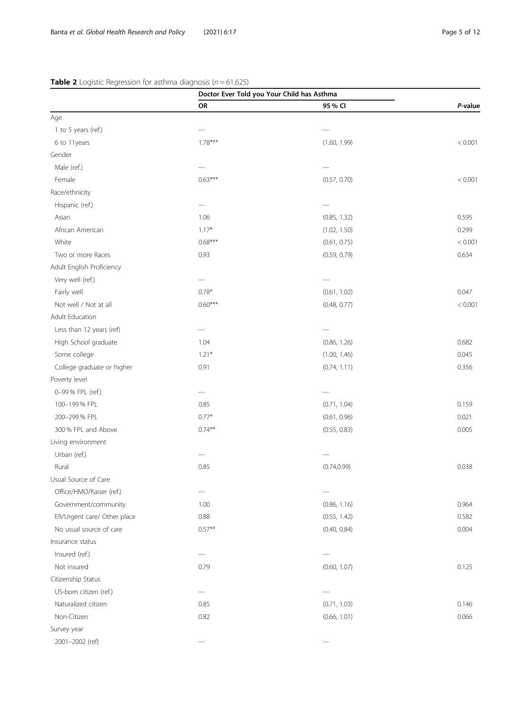# Doctor Ever Told you Your Child has Asthma OR 2008 2012 12:30 AM 25 % CI 25 P-value Age 1 to 5 years (ref.) --- --- 6 to 11years 1.78\*\*\* (1.60, 1.99) < 0.001 Gender Male (ref.) --- --- Female 0.63\*\*\* (0.57, 0.70) < 0.001 Race/ethnicity Hispanic (ref.) --- --- Asian 1.06 (0.85, 1.32) 0.595 African American 1.17\* 1.17\* (1.02, 1.50) 1.299 White  $0.68***$   $0.68***$  (0.61, 0.75)  $< 0.001$ Two or more Races 0.93 (0.59, 0.79) 0.634 Adult English Proficiency Very well (ref.) --- --- Fairly well 0.78\* (0.61, 1.02) 0.047 Not well / Not at all  $0.60***$  (0.48, 0.77)  $(0.48, 0.77)$   $(0.48, 0.77)$   $(0.48, 0.77)$ Adult Education Less than 12 years (ref)  $-$ ---High School graduate 1.04 1.04 (0.86, 1.26) 0.682 Some college 1.21\* 1.21\* 1.21\* (1.00, 1.46) 1.00, 1.46 College graduate or higher 0.91 (0.74, 1.11) 0.356 Poverty level 0–99 % FPL (ref.) --- --- 100–199 % FPL 0.159 (0.71, 1.04) 0.85 (0.71, 1.04) 0.159 (0.71, 1.04) 0.159  $200-299$  % FPL  $0.21$ 300 % FPL and Above 0.74\*\* (0.55, 0.83) 0.005 Living environment Urban (ref.) --- --- Rural 0.85 (0.74,0.99) 0.038 Usual Source of Care Office/HMO/Kaiser (ref.) --- --- Government/community 1.00 1.00 (0.86, 1.16) 0.964 ER/Urgent care/ Other place 0.88 0.88 (0.55, 1.42) 0.582 No usual source of care  $0.57**$  0.57<sup>\*\*</sup> 0.657<sup>\*\*</sup> 0.004 0.84) 0.004 Insurance status Insured (ref.) --- --- Not insured **0.79** 0.125 0.79 0.125 0.79 0.125 0.79 0.125 0.125 0.125 0.125 0.125 0.125 0.125 0.125 0.125 0.125 Citizenship Status US-born citizen (ref.) --- --- Naturalized citizen 0.85 (0.71, 1.03) 0.146 Non-Citizen 0.82 0.82 (0.66, 1.01) 0.066 0.82 0.066 Survey year

#### <span id="page-4-0"></span>**Table 2** Logistic Regression for asthma diagnosis ( $n = 61,625$ )

2001-2002 (ref)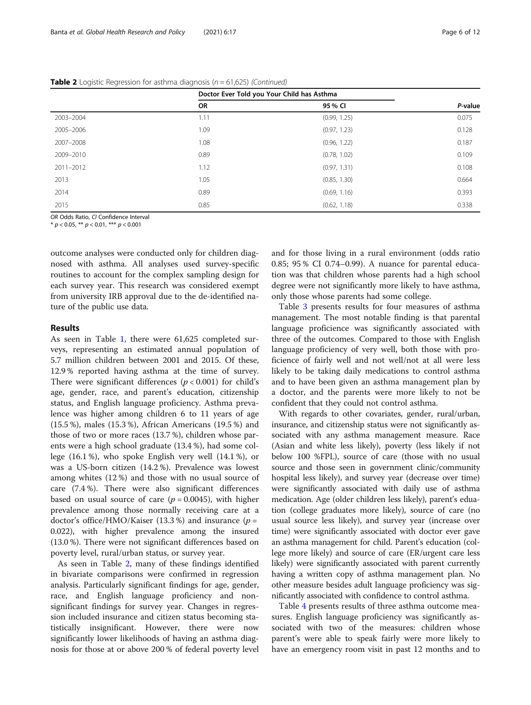|           | Doctor Ever Told you Your Child has Asthma |              |         |
|-----------|--------------------------------------------|--------------|---------|
|           | <b>OR</b>                                  | 95 % CI      | P-value |
| 2003-2004 | 1.11                                       | (0.99, 1.25) | 0.075   |
| 2005-2006 | 1.09                                       | (0.97, 1.23) | 0.128   |
| 2007-2008 | 1.08                                       | (0.96, 1.22) | 0.187   |
| 2009-2010 | 0.89                                       | (0.78, 1.02) | 0.109   |
| 2011-2012 | 1.12                                       | (0.97, 1.31) | 0.108   |
| 2013      | 1.05                                       | (0.85, 1.30) | 0.664   |
| 2014      | 0.89                                       | (0.69, 1.16) | 0.393   |
| 2015      | 0.85                                       | (0.62, 1.18) | 0.338   |

**Table 2** Logistic Regression for asthma diagnosis ( $n = 61,625$ ) (Continued)

OR Odds Ratio, CL Confidence Interval

 $*$  p < 0.05, \*\* p < 0.01, \*\*\* p < 0.001

outcome analyses were conducted only for children diagnosed with asthma. All analyses used survey-specific routines to account for the complex sampling design for each survey year. This research was considered exempt from university IRB approval due to the de-identified nature of the public use data.

#### Results

As seen in Table [1,](#page-2-0) there were 61,625 completed surveys, representing an estimated annual population of 5.7 million children between 2001 and 2015. Of these, 12.9 % reported having asthma at the time of survey. There were significant differences ( $p < 0.001$ ) for child's age, gender, race, and parent's education, citizenship status, and English language proficiency. Asthma prevalence was higher among children 6 to 11 years of age (15.5 %), males (15.3 %), African Americans (19.5 %) and those of two or more races (13.7 %), children whose parents were a high school graduate (13.4 %), had some college (16.1 %), who spoke English very well (14.1 %), or was a US-born citizen (14.2 %). Prevalence was lowest among whites (12 %) and those with no usual source of care (7.4 %). There were also significant differences based on usual source of care  $(p = 0.0045)$ , with higher prevalence among those normally receiving care at a doctor's office/HMO/Kaiser (13.3 %) and insurance ( $p =$ 0.022), with higher prevalence among the insured (13.0 %). There were not significant differences based on poverty level, rural/urban status, or survey year.

As seen in Table [2,](#page-4-0) many of these findings identified in bivariate comparisons were confirmed in regression analysis. Particularly significant findings for age, gender, race, and English language proficiency and nonsignificant findings for survey year. Changes in regression included insurance and citizen status becoming statistically insignificant. However, there were now significantly lower likelihoods of having an asthma diagnosis for those at or above 200 % of federal poverty level and for those living in a rural environment (odds ratio 0.85; 95 % CI 0.74–0.99). A nuance for parental education was that children whose parents had a high school degree were not significantly more likely to have asthma, only those whose parents had some college.

Table [3](#page-6-0) presents results for four measures of asthma management. The most notable finding is that parental language proficience was significantly associated with three of the outcomes. Compared to those with English language proficiency of very well, both those with proficience of fairly well and not well/not at all were less likely to be taking daily medications to control asthma and to have been given an asthma management plan by a doctor, and the parents were more likely to not be confident that they could not control asthma.

With regards to other covariates, gender, rural/urban, insurance, and citizenship status were not significantly associated with any asthma management measure. Race (Asian and white less likely), poverty (less likely if not below 100 %FPL), source of care (those with no usual source and those seen in government clinic/community hospital less likely), and survey year (decrease over time) were significantly associated with daily use of asthma medication. Age (older children less likely), parent's eduation (college graduates more likely), source of care (no usual source less likely), and survey year (increase over time) were significantly associated with doctor ever gave an asthma management for child. Parent's education (college more likely) and source of care (ER/urgent care less likely) were significantly associated with parent currently having a written copy of asthma management plan. No other measure besides adult language proficiency was significantly associated with confidence to control asthma.

Table [4](#page-8-0) presents results of three asthma outcome measures. English language proficiency was significantly associated with two of the measures: children whose parent's were able to speak fairly were more likely to have an emergency room visit in past 12 months and to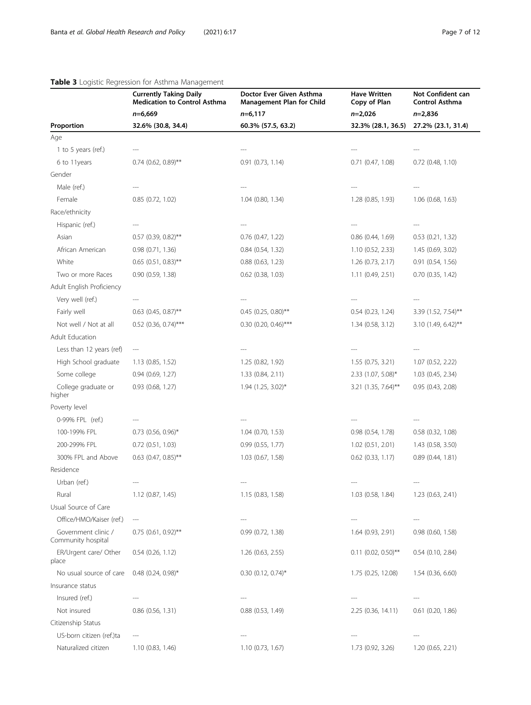## <span id="page-6-0"></span>Table 3 Logistic Regression for Asthma Management

|                                           | <b>Currently Taking Daily</b><br><b>Medication to Control Asthma</b> | Doctor Ever Given Asthma<br><b>Management Plan for Child</b><br>$n=6,117$ | <b>Have Written</b><br>Copy of Plan | Not Confident can<br>Control Asthma |
|-------------------------------------------|----------------------------------------------------------------------|---------------------------------------------------------------------------|-------------------------------------|-------------------------------------|
|                                           | $n=6,669$                                                            |                                                                           | $n=2,026$                           | $n=2,836$                           |
| Proportion                                | 32.6% (30.8, 34.4)                                                   | 60.3% (57.5, 63.2)                                                        | 32.3% (28.1, 36.5)                  | 27.2% (23.1, 31.4)                  |
| Age                                       |                                                                      |                                                                           |                                     |                                     |
| 1 to 5 years (ref.)                       |                                                                      |                                                                           |                                     |                                     |
| 6 to 11years                              | $0.74$ (0.62, 0.89)**                                                | $0.91$ $(0.73, 1.14)$                                                     | $0.71$ $(0.47, 1.08)$               | $0.72$ (0.48, 1.10)                 |
| Gender                                    |                                                                      |                                                                           |                                     |                                     |
| Male (ref.)                               |                                                                      |                                                                           |                                     |                                     |
| Female                                    | 0.85(0.72, 1.02)                                                     | 1.04 (0.80, 1.34)                                                         | 1.28 (0.85, 1.93)                   | $1.06$ (0.68, 1.63)                 |
| Race/ethnicity                            |                                                                      |                                                                           |                                     |                                     |
| Hispanic (ref.)                           |                                                                      |                                                                           |                                     |                                     |
| Asian                                     | $0.57$ (0.39, 0.82)**                                                | $0.76$ (0.47, 1.22)                                                       | $0.86$ $(0.44, 1.69)$               | 0.53(0.21, 1.32)                    |
| African American                          | $0.98$ $(0.71, 1.36)$                                                | $0.84$ $(0.54, 1.32)$                                                     | 1.10 (0.52, 2.33)                   | 1.45 (0.69, 3.02)                   |
| White                                     | $0.65$ (0.51, 0.83)**                                                | $0.88$ $(0.63, 1.23)$                                                     | 1.26 (0.73, 2.17)                   | 0.91(0.54, 1.56)                    |
| Two or more Races                         | 0.90 (0.59, 1.38)                                                    | $0.62$ (0.38, 1.03)                                                       | 1.11 (0.49, 2.51)                   | $0.70$ $(0.35, 1.42)$               |
| Adult English Proficiency                 |                                                                      |                                                                           |                                     |                                     |
| Very well (ref.)                          |                                                                      |                                                                           |                                     |                                     |
| Fairly well                               | $0.63$ (0.45, 0.87)**                                                | $0.45$ (0.25, 0.80)**                                                     | $0.54$ $(0.23, 1.24)$               | 3.39 (1.52, 7.54)**                 |
| Not well / Not at all                     | $0.52$ (0.36, 0.74)***                                               | $0.30$ (0.20, 0.46)***                                                    | 1.34 (0.58, 3.12)                   | 3.10 (1.49, 6.42)**                 |
| Adult Education                           |                                                                      |                                                                           |                                     |                                     |
| Less than 12 years (ref)                  | $\hspace{0.05cm} \ldots$                                             |                                                                           |                                     |                                     |
| High School graduate                      | 1.13(0.85, 1.52)                                                     | 1.25 (0.82, 1.92)                                                         | 1.55(0.75, 3.21)                    | 1.07(0.52, 2.22)                    |
| Some college                              | 0.94(0.69, 1.27)                                                     | 1.33 (0.84, 2.11)                                                         | 2.33 (1.07, 5.08)*                  | 1.03 (0.45, 2.34)                   |
| College graduate or<br>higher             | $0.93$ $(0.68, 1.27)$                                                | $1.94$ (1.25, 3.02) <sup>*</sup>                                          | 3.21 (1.35, 7.64)**                 | 0.95(0.43, 2.08)                    |
| Poverty level                             |                                                                      |                                                                           |                                     |                                     |
| 0-99% FPL (ref.)                          |                                                                      |                                                                           |                                     |                                     |
| 100-199% FPL                              | $0.73$ (0.56, 0.96)*                                                 | $1.04$ (0.70, 1.53)                                                       | 0.98 (0.54, 1.78)                   | 0.58 (0.32, 1.08)                   |
| 200-299% FPL                              | $0.72$ $(0.51, 1.03)$                                                | $0.99$ (0.55, 1.77)                                                       | 1.02 (0.51, 2.01)                   | 1.43(0.58, 3.50)                    |
| 300% FPL and Above                        | $0.63$ (0.47, 0.85)**                                                | 1.03 (0.67, 1.58)                                                         | $0.62$ $(0.33, 1.17)$               | 0.89(0.44, 1.81)                    |
| Residence                                 |                                                                      |                                                                           |                                     |                                     |
| Urban (ref.)                              | ---                                                                  |                                                                           | ---                                 |                                     |
| Rural                                     | 1.12 (0.87, 1.45)                                                    | 1.15 (0.83, 1.58)                                                         | 1.03 (0.58, 1.84)                   | 1.23 (0.63, 2.41)                   |
| Usual Source of Care                      |                                                                      |                                                                           |                                     |                                     |
| Office/HMO/Kaiser (ref.)                  | $---$                                                                |                                                                           |                                     |                                     |
| Government clinic /<br>Community hospital | $0.75$ (0.61, 0.92)**                                                | 0.99(0.72, 1.38)                                                          | 1.64 (0.93, 2.91)                   | $0.98$ $(0.60, 1.58)$               |
| ER/Urgent care/ Other<br>place            | $0.54$ (0.26, 1.12)                                                  | 1.26 (0.63, 2.55)                                                         | $0.11$ (0.02, 0.50)**               | $0.54$ $(0.10, 2.84)$               |
| No usual source of care                   | $0.48$ (0.24, 0.98)*                                                 | $0.30$ (0.12, 0.74)*                                                      | 1.75 (0.25, 12.08)                  | 1.54(0.36, 6.60)                    |
| Insurance status                          |                                                                      |                                                                           |                                     |                                     |
| Insured (ref.)                            |                                                                      |                                                                           |                                     |                                     |
| Not insured                               | $0.86$ $(0.56, 1.31)$                                                | $0.88$ $(0.53, 1.49)$                                                     | 2.25 (0.36, 14.11)                  | $0.61$ $(0.20, 1.86)$               |
| Citizenship Status                        |                                                                      |                                                                           |                                     |                                     |
| US-born citizen (ref.)ta                  | ---                                                                  |                                                                           |                                     |                                     |
| Naturalized citizen                       | 1.10(0.83, 1.46)                                                     | 1.10 (0.73, 1.67)                                                         | 1.73 (0.92, 3.26)                   | 1.20(0.65, 2.21)                    |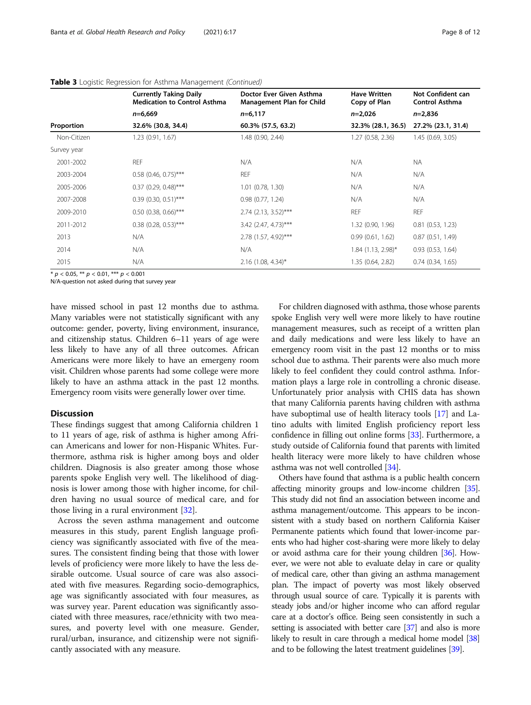|             | <b>Currently Taking Daily</b><br><b>Medication to Control Asthma</b> | Doctor Ever Given Asthma<br><b>Management Plan for Child</b> | <b>Have Written</b><br>Copy of Plan | Not Confident can<br><b>Control Asthma</b> |
|-------------|----------------------------------------------------------------------|--------------------------------------------------------------|-------------------------------------|--------------------------------------------|
|             | $n=6,669$                                                            | $n=6,117$                                                    | $n=2,026$                           | $n=2,836$                                  |
| Proportion  | 32.6% (30.8, 34.4)                                                   | 60.3% (57.5, 63.2)                                           | 32.3% (28.1, 36.5)                  | 27.2% (23.1, 31.4)                         |
| Non-Citizen | 1.23 (0.91, 1.67)                                                    | 1.48 (0.90, 2.44)                                            | 1.27 (0.58, 2.36)                   | 1.45 (0.69, 3.05)                          |
| Survey year |                                                                      |                                                              |                                     |                                            |
| 2001-2002   | <b>REF</b>                                                           | N/A                                                          | N/A                                 | <b>NA</b>                                  |
| 2003-2004   | $0.58$ (0.46, 0.75)***                                               | <b>REF</b>                                                   | N/A                                 | N/A                                        |
| 2005-2006   | $0.37$ (0.29, 0.48)***                                               | $1.01$ (0.78, 1.30)                                          | N/A                                 | N/A                                        |
| 2007-2008   | $0.39$ (0.30, 0.51)***                                               | 0.98(0.77, 1.24)                                             | N/A                                 | N/A                                        |
| 2009-2010   | $0.50$ (0.38, 0.66)***                                               | $2.74$ (2.13, 3.52)***                                       | <b>REF</b>                          | <b>REF</b>                                 |
| 2011-2012   | $0.38$ (0.28, 0.53)***                                               | 3.42 (2.47, 4.73)***                                         | 1.32 (0.90, 1.96)                   | 0.81(0.53, 1.23)                           |
| 2013        | N/A                                                                  | 2.78 (1.57, 4.92)***                                         | 0.99(0.61, 1.62)                    | 0.87(0.51, 1.49)                           |
| 2014        | N/A                                                                  | N/A                                                          | $1.84$ (1.13, 2.98)*                | 0.93(0.53, 1.64)                           |
| 2015        | N/A                                                                  | $2.16$ (1.08, 4.34)*                                         | 1.35 (0.64, 2.82)                   | 0.74(0.34, 1.65)                           |

#### Table 3 Logistic Regression for Asthma Management (Continued)

\*  $p < 0.05$ , \*\*  $p < 0.01$ , \*\*\*  $p < 0.001$ 

N/A-question not asked during that survey year

have missed school in past 12 months due to asthma. Many variables were not statistically significant with any outcome: gender, poverty, living environment, insurance, and citizenship status. Children 6–11 years of age were less likely to have any of all three outcomes. African Americans were more likely to have an emergeny room visit. Children whose parents had some college were more likely to have an asthma attack in the past 12 months. Emergency room visits were generally lower over time.

#### **Discussion**

These findings suggest that among California children 1 to 11 years of age, risk of asthma is higher among African Americans and lower for non-Hispanic Whites. Furthermore, asthma risk is higher among boys and older children. Diagnosis is also greater among those whose parents spoke English very well. The likelihood of diagnosis is lower among those with higher income, for children having no usual source of medical care, and for those living in a rural environment [[32\]](#page-11-0).

Across the seven asthma management and outcome measures in this study, parent English language proficiency was significantly associated with five of the measures. The consistent finding being that those with lower levels of proficiency were more likely to have the less desirable outcome. Usual source of care was also associated with five measures. Regarding socio-demographics, age was significantly associated with four measures, as was survey year. Parent education was significantly associated with three measures, race/ethnicity with two measures, and poverty level with one measure. Gender, rural/urban, insurance, and citizenship were not significantly associated with any measure.

For children diagnosed with asthma, those whose parents spoke English very well were more likely to have routine management measures, such as receipt of a written plan and daily medications and were less likely to have an emergency room visit in the past 12 months or to miss school due to asthma. Their parents were also much more likely to feel confident they could control asthma. Information plays a large role in controlling a chronic disease. Unfortunately prior analysis with CHIS data has shown that many California parents having children with asthma have suboptimal use of health literacy tools [\[17\]](#page-10-0) and Latino adults with limited English proficiency report less confidence in filling out online forms [\[33](#page-11-0)]. Furthermore, a study outside of California found that parents with limited health literacy were more likely to have children whose asthma was not well controlled [[34](#page-11-0)].

Others have found that asthma is a public health concern affecting minority groups and low-income children [\[35](#page-11-0)]. This study did not find an association between income and asthma management/outcome. This appears to be inconsistent with a study based on northern California Kaiser Permanente patients which found that lower-income parents who had higher cost-sharing were more likely to delay or avoid asthma care for their young children [[36](#page-11-0)]. However, we were not able to evaluate delay in care or quality of medical care, other than giving an asthma management plan. The impact of poverty was most likely observed through usual source of care. Typically it is parents with steady jobs and/or higher income who can afford regular care at a doctor's office. Being seen consistently in such a setting is associated with better care [[37](#page-11-0)] and also is more likely to result in care through a medical home model [\[38](#page-11-0)] and to be following the latest treatment guidelines [\[39\]](#page-11-0).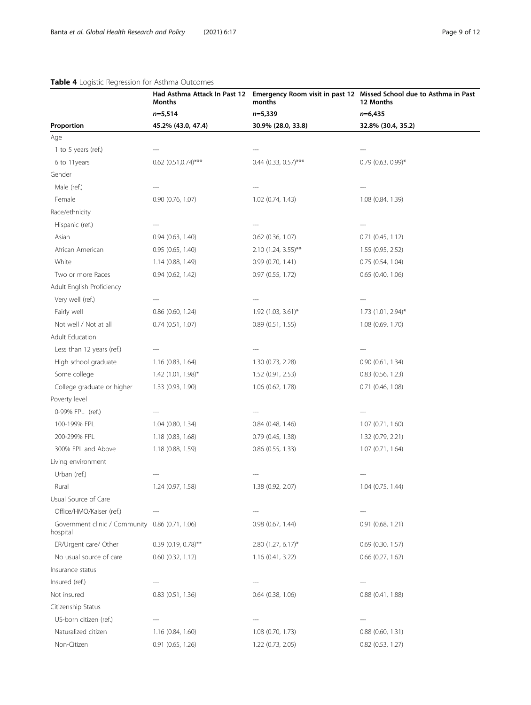### <span id="page-8-0"></span>Table 4 Logistic Regression for Asthma Outcomes

|                                                             | Months                    | months<br>$n=5,339$               | Had Asthma Attack In Past 12 Emergency Room visit in past 12 Missed School due to Asthma in Past<br>12 Months<br>$n=6,435$ |  |
|-------------------------------------------------------------|---------------------------|-----------------------------------|----------------------------------------------------------------------------------------------------------------------------|--|
|                                                             | $n=5,514$                 |                                   |                                                                                                                            |  |
| Proportion                                                  | 45.2% (43.0, 47.4)        | 30.9% (28.0, 33.8)                | 32.8% (30.4, 35.2)                                                                                                         |  |
| Age                                                         |                           |                                   |                                                                                                                            |  |
| 1 to 5 years (ref.)                                         |                           |                                   |                                                                                                                            |  |
| 6 to 11years                                                | $0.62$ $(0.51, 0.74)$ *** | $0.44$ (0.33, 0.57)***            | $0.79$ (0.63, 0.99)*                                                                                                       |  |
| Gender                                                      |                           |                                   |                                                                                                                            |  |
| Male (ref.)                                                 |                           |                                   |                                                                                                                            |  |
| Female                                                      | $0.90$ $(0.76, 1.07)$     | 1.02 (0.74, 1.43)                 | 1.08 (0.84, 1.39)                                                                                                          |  |
| Race/ethnicity                                              |                           |                                   |                                                                                                                            |  |
| Hispanic (ref.)                                             |                           |                                   |                                                                                                                            |  |
| Asian                                                       | $0.94$ $(0.63, 1.40)$     | $0.62$ (0.36, 1.07)               | $0.71$ $(0.45, 1.12)$                                                                                                      |  |
| African American                                            | 0.95(0.65, 1.40)          | $2.10$ (1.24, 3.55) <sup>**</sup> | 1.55 (0.95, 2.52)                                                                                                          |  |
| White                                                       | 1.14 (0.88, 1.49)         | 0.99(0.70, 1.41)                  | 0.75(0.54, 1.04)                                                                                                           |  |
| Two or more Races                                           | 0.94(0.62, 1.42)          | $0.97$ $(0.55, 1.72)$             | $0.65$ (0.40, 1.06)                                                                                                        |  |
| Adult English Proficiency                                   |                           |                                   |                                                                                                                            |  |
| Very well (ref.)                                            |                           |                                   |                                                                                                                            |  |
| Fairly well                                                 | $0.86$ (0.60, 1.24)       | 1.92 (1.03, 3.61)*                | 1.73 (1.01, 2.94)*                                                                                                         |  |
| Not well / Not at all                                       | 0.74(0.51, 1.07)          | 0.89(0.51, 1.55)                  | 1.08 (0.69, 1.70)                                                                                                          |  |
| Adult Education                                             |                           |                                   |                                                                                                                            |  |
| Less than 12 years (ref.)                                   |                           |                                   |                                                                                                                            |  |
| High school graduate                                        | 1.16 (0.83, 1.64)         | 1.30(0.73, 2.28)                  | 0.90(0.61, 1.34)                                                                                                           |  |
| Some college                                                | 1.42 (1.01, 1.98)*        | 1.52(0.91, 2.53)                  | $0.83$ $(0.56, 1.23)$                                                                                                      |  |
| College graduate or higher                                  | 1.33 (0.93, 1.90)         | 1.06 (0.62, 1.78)                 | $0.71$ $(0.46, 1.08)$                                                                                                      |  |
| Poverty level                                               |                           |                                   |                                                                                                                            |  |
| 0-99% FPL (ref.)                                            |                           |                                   |                                                                                                                            |  |
| 100-199% FPL                                                | 1.04 (0.80, 1.34)         | $0.84$ (0.48, 1.46)               | 1.07(0.71, 1.60)                                                                                                           |  |
| 200-299% FPL                                                | 1.18 (0.83, 1.68)         | 0.79(0.45, 1.38)                  | 1.32 (0.79, 2.21)                                                                                                          |  |
| 300% FPL and Above                                          | 1.18 (0.88, 1.59)         | $0.86$ (0.55, 1.33)               | 1.07(0.71, 1.64)                                                                                                           |  |
| Living environment                                          |                           |                                   |                                                                                                                            |  |
| Urban (ref.)                                                |                           |                                   |                                                                                                                            |  |
| Rural                                                       | 1.24 (0.97, 1.58)         | 1.38 (0.92, 2.07)                 | 1.04 (0.75, 1.44)                                                                                                          |  |
| Usual Source of Care                                        |                           |                                   |                                                                                                                            |  |
| Office/HMO/Kaiser (ref.)                                    |                           |                                   |                                                                                                                            |  |
| Government clinic / Community 0.86 (0.71, 1.06)<br>hospital |                           | $0.98$ $(0.67, 1.44)$             | 0.91 (0.68, 1.21)                                                                                                          |  |
| ER/Urgent care/ Other                                       | $0.39$ (0.19, 0.78)**     | 2.80 (1.27, 6.17)*                | $0.69$ (0.30, 1.57)                                                                                                        |  |
| No usual source of care                                     | $0.60$ $(0.32, 1.12)$     | 1.16(0.41, 3.22)                  | $0.66$ $(0.27, 1.62)$                                                                                                      |  |
| Insurance status                                            |                           |                                   |                                                                                                                            |  |
| Insured (ref.)                                              |                           |                                   |                                                                                                                            |  |
| Not insured                                                 | 0.83 (0.51, 1.36)         | $0.64$ (0.38, 1.06)               | 0.88(0.41, 1.88)                                                                                                           |  |
| Citizenship Status                                          |                           |                                   |                                                                                                                            |  |
| US-born citizen (ref.)                                      | ---                       |                                   | ---                                                                                                                        |  |
| Naturalized citizen                                         | 1.16(0.84, 1.60)          | $1.08$ (0.70, 1.73)               | 0.88(0.60, 1.31)                                                                                                           |  |
| Non-Citizen                                                 | $0.91$ $(0.65, 1.26)$     | 1.22 (0.73, 2.05)                 | $0.82$ $(0.53, 1.27)$                                                                                                      |  |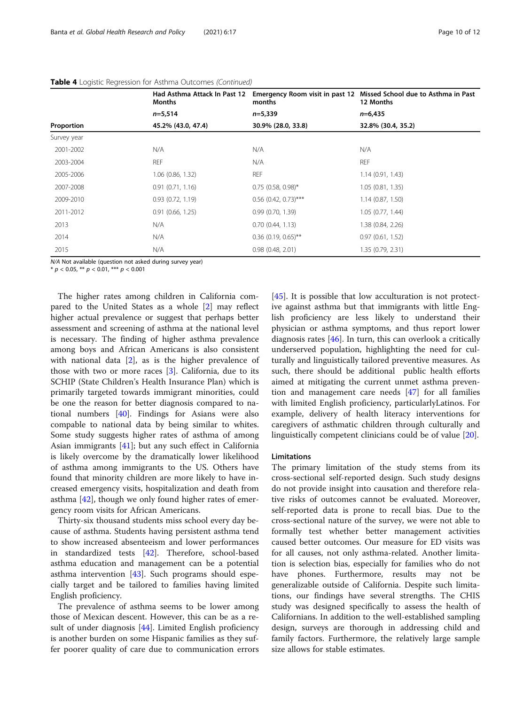|             | Had Asthma Attack In Past 12<br>Months | months                 | Emergency Room visit in past 12 Missed School due to Asthma in Past<br>12 Months |  |
|-------------|----------------------------------------|------------------------|----------------------------------------------------------------------------------|--|
|             | $n=5,514$                              | $n=5,339$              | $n=6,435$                                                                        |  |
| Proportion  | 45.2% (43.0, 47.4)                     | 30.9% (28.0, 33.8)     | 32.8% (30.4, 35.2)                                                               |  |
| Survey year |                                        |                        |                                                                                  |  |
| 2001-2002   | N/A                                    | N/A                    | N/A                                                                              |  |
| 2003-2004   | <b>REF</b>                             | N/A                    | <b>REF</b>                                                                       |  |
| 2005-2006   | $1.06$ (0.86, 1.32)                    | <b>REF</b>             | 1.14(0.91, 1.43)                                                                 |  |
| 2007-2008   | 0.91(0.71, 1.16)                       | $0.75$ (0.58, 0.98)*   | 1.05(0.81, 1.35)                                                                 |  |
| 2009-2010   | 0.93(0.72, 1.19)                       | $0.56$ (0.42, 0.73)*** | 1.14(0.87, 1.50)                                                                 |  |
| 2011-2012   | 0.91(0.66, 1.25)                       | 0.99(0.70, 1.39)       | 1.05(0.77, 1.44)                                                                 |  |
| 2013        | N/A                                    | 0.70(0.44, 1.13)       | 1.38 (0.84, 2.26)                                                                |  |
| 2014        | N/A                                    | $0.36$ (0.19, 0.65)**  | 0.97(0.61, 1.52)                                                                 |  |
| 2015        | N/A                                    | 0.98(0.48, 2.01)       | 1.35(0.79, 2.31)                                                                 |  |

N/A Not available (question not asked during survey year)

 $* p < 0.05$ ,  $** p < 0.01$ ,  $*** p < 0.001$ 

The higher rates among children in California compared to the United States as a whole [[2](#page-10-0)] may reflect higher actual prevalence or suggest that perhaps better assessment and screening of asthma at the national level is necessary. The finding of higher asthma prevalence among boys and African Americans is also consistent with national data [[2\]](#page-10-0), as is the higher prevalence of those with two or more races [\[3](#page-10-0)]. California, due to its SCHIP (State Children's Health Insurance Plan) which is primarily targeted towards immigrant minorities, could be one the reason for better diagnosis compared to national numbers [[40](#page-11-0)]. Findings for Asians were also compable to national data by being similar to whites. Some study suggests higher rates of asthma of among Asian immigrants [[41\]](#page-11-0); but any such effect in California is likely overcome by the dramatically lower likelihood of asthma among immigrants to the US. Others have found that minority children are more likely to have increased emergency visits, hospitalization and death from asthma [\[42\]](#page-11-0), though we only found higher rates of emergency room visits for African Americans.

Thirty-six thousand students miss school every day because of asthma. Students having persistent asthma tend to show increased absenteeism and lower performances in standardized tests [\[42](#page-11-0)]. Therefore, school-based asthma education and management can be a potential asthma intervention [[43](#page-11-0)]. Such programs should especially target and be tailored to families having limited English proficiency.

The prevalence of asthma seems to be lower among those of Mexican descent. However, this can be as a result of under diagnosis [\[44](#page-11-0)]. Limited English proficiency is another burden on some Hispanic families as they suffer poorer quality of care due to communication errors

[[45\]](#page-11-0). It is possible that low acculturation is not protective against asthma but that immigrants with little English proficiency are less likely to understand their physician or asthma symptoms, and thus report lower diagnosis rates [[46\]](#page-11-0). In turn, this can overlook a critically underserved population, highlighting the need for culturally and linguistically tailored preventive measures. As such, there should be additional public health efforts aimed at mitigating the current unmet asthma prevention and management care needs [[47](#page-11-0)] for all families with limited English proficiency, particularlyLatinos. For example, delivery of health literacy interventions for caregivers of asthmatic children through culturally and linguistically competent clinicians could be of value [\[20\]](#page-10-0).

#### Limitations

The primary limitation of the study stems from its cross-sectional self-reported design. Such study designs do not provide insight into causation and therefore relative risks of outcomes cannot be evaluated. Moreover, self-reported data is prone to recall bias. Due to the cross-sectional nature of the survey, we were not able to formally test whether better management activities caused better outcomes. Our measure for ED visits was for all causes, not only asthma-related. Another limitation is selection bias, especially for families who do not have phones. Furthermore, results may not be generalizable outside of California. Despite such limitations, our findings have several strengths. The CHIS study was designed specifically to assess the health of Californians. In addition to the well-established sampling design, surveys are thorough in addressing child and family factors. Furthermore, the relatively large sample size allows for stable estimates.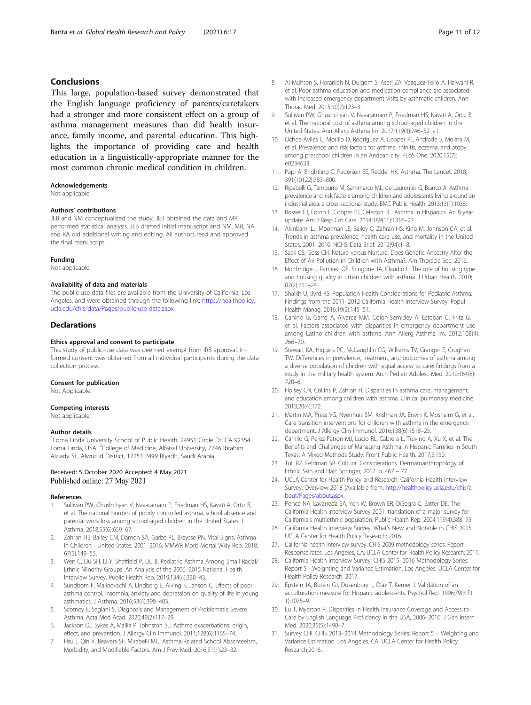#### <span id="page-10-0"></span>Conclusions

This large, population-based survey demonstrated that the English language proficiency of parents/caretakers had a stronger and more consistent effect on a group of asthma management measures than did health insurance, family income, and parental education. This highlights the importance of providing care and health education in a linguistically-appropriate manner for the most common chronic medical condition in children.

#### Acknowledgements

Not applicable.

#### Authors' contributions

JEB and NM conceptualized the study. JEB obtained the data and MR performed statistical analysis. JEB drafted initial manuscript and NM, MR, NA, and KA did additional writing and editing. All authors read and approved the final manuscript.

#### Funding

Not applicable.

#### Availability of data and materials

The public-use data files are available from the University of California, Los Angeles, and were obtained through the following link: [https://healthpolicy.](https://healthpolicy.ucla.edu/chis/data/Pages/public-use-data.aspx) [ucla.edu/chis/data/Pages/public-use-data.aspx.](https://healthpolicy.ucla.edu/chis/data/Pages/public-use-data.aspx)

#### Declarations

#### Ethics approval and consent to participate

This study of public-use data was deemed exempt from IRB approval. Informed consent was obtained from all individual participants during the data collection process.

#### Consent for publication

Not Applicable.

#### Competing interests

Not applicable.

#### Author details

<sup>1</sup> Loma Linda University School of Public Health, 24951 Circle Dr, CA 92354 Loma Linda, USA. <sup>2</sup>College of Medicine, Alfaisal University, 7746 Ibrahim Alziady St., Alwurud District, 12253 2499 Riyadh, Saudi Arabia.

#### Received: 5 October 2020 Accepted: 4 May 2021 Published online: 27 May 2021

#### References

- Sullivan PW, Ghushchyan V, Navaratnam P, Friedman HS, Kavati A, Ortiz B, et al. The national burden of poorly controlled asthma, school absence and parental work loss among school-aged children in the United States. J Asthma. 2018;55(6):659–67.
- 2. Zahran HS, Bailey CM, Damon SA, Garbe PL, Breysse PN. Vital Signs: Asthma in Children - United States, 2001–2016. MMWR Morb Mortal Wkly Rep. 2018; 67(5):149–55.
- Wen C, Liu SH, Li Y, Sheffield P, Liu B. Pediatric Asthma Among Small Racial/ Ethnic Minority Groups: An Analysis of the 2006–2015 National Health Interview Survey. Public Health Rep. 2019;134(4):338–43.
- 4. Sundbom F, Malinovschi A, Lindberg E, Alving K, Janson C. Effects of poor asthma control, insomnia, anxiety and depression on quality of life in young asthmatics. J Asthma. 2016;53(4):398–403.
- 5. Scotney E, Saglani S. Diagnosis and Management of Problematic Severe Asthma. Acta Med Acad. 2020;49(2):117–29.
- 6. Jackson DJ, Sykes A, Mallia P, Johnston SL. Asthma exacerbations: origin, effect, and prevention. J Allergy Clin Immunol. 2011;128(6):1165–74.
- 7. Hsu J, Qin X, Beavers SF, Mirabelli MC. Asthma-Related School Absenteeism, Morbidity, and Modifiable Factors. Am J Prev Med. 2016;51(1):23–32.
- 8. Al-Muhsen S, Horanieh N, Dulgom S, Aseri ZA, Vazquez-Tello A, Halwani R, et al. Poor asthma education and medication compliance are associated with increased emergency department visits by asthmatic children. Ann Thorac Med. 2015;10(2):123–31.
- Sullivan PW, Ghushchyan V, Navaratnam P, Friedman HS, Kavati A, Ortiz B, et al. The national cost of asthma among school-aged children in the United States. Ann Allerg Asthma Im. 2017;119(3):246–52. e1.
- 10. Ochoa-Aviles C, Morillo D, Rodriguez A, Cooper PJ, Andrade S, Molina M, et al. Prevalence and risk factors for asthma, rhinitis, eczema, and atopy among preschool children in an Andean city. PLoS One. 2020;15(7): e0234633.
- 11. Papi A, Brightling C, Pedersen SE, Reddel HK. Asthma. The Lancet. 2018; 391(10122):783–800.
- 12. Ripabelli G, Tamburro M, Sammarco ML, de Laurentiis G, Bianco A. Asthma prevalence and risk factors among children and adolescents living around an industrial area: a cross-sectional study. BMC Public Health. 2013;13(1):1038.
- 13. Rosser FJ, Forno E, Cooper PJ, Celedon JC. Asthma in Hispanics. An 8-year update. Am J Resp Crit Care. 2014;189(11):1316–27.
- 14. Akinbami LJ, Moorman JE, Bailey C, Zahran HS, King M, Johnson CA, et al. Trends in asthma prevalence, health care use, and mortality in the United States, 2001–2010. NCHS Data Brief. 2012(94):1–8.
- 15. Sack CS, Goss CH. Nature versus Nurture: Does Genetic Ancestry Alter the Effect of Air Pollution in Children with Asthma?: Am Thoracic Soc; 2016.
- 16. Northridge J, Ramirez OF, Stingone JA, Claudio L. The role of housing type and housing quality in urban children with asthma. J Urban Health. 2010; 87(2):211–24.
- 17. Shaikh U, Byrd RS. Population Health Considerations for Pediatric Asthma: Findings from the 2011–2012 California Health Interview Survey. Popul Health Manag. 2016;19(2):145–51.
- 18. Canino G, Garro A, Alvarez MM, Colon-Semidey A, Esteban C, Fritz G, et al. Factors associated with disparities in emergency department use among Latino children with asthma. Ann Allerg Asthma Im. 2012;108(4): 266–70.
- 19. Stewart KA, Higgins PC, McLaughlin CG, Williams TV, Granger E, Croghan TW. Differences in prevalence, treatment, and outcomes of asthma among a diverse population of children with equal access to care: findings from a study in the military health system. Arch Pediatr Adolesc Med. 2010;164(8): 720–6.
- 20. Holsey CN, Collins P, Zahran H, Disparities in asthma care, management, and education among children with asthma. Clinical pulmonary medicine. 2013;20(4):172.
- 21. Martin MA, Press VG, Nyenhuis SM, Krishnan JA, Erwin K, Mosnaim G, et al. Care transition interventions for children with asthma in the emergency department. J Allergy Clin Immunol. 2016;138(6):1518–25.
- 22. Carrillo G, Perez-Patron MJ, Lucio RL, Cabrera L, Trevino A, Xu X, et al. The Benefits and Challenges of Managing Asthma in Hispanic Families in South Texas: A Mixed-Methods Study. Front Public Health. 2017;5:150.
- 23. Tull RZ, Feldman SR. Cultural Considerations. Dermatoanthropology of Ethnic Skin and Hair: Springer; 2017. p. 467 – 77.
- 24. UCLA Center for Health Policy and Research. California Health Interview Survey: Overview 2018 [Available from: [http://healthpolicy.ucla.edu/chis/a](http://healthpolicy.ucla.edu/chis/about/Pages/about.aspx) [bout/Pages/about.aspx](http://healthpolicy.ucla.edu/chis/about/Pages/about.aspx).
- 25. Ponce NA, Lavarreda SA, Yen W, Brown ER, DiSogra C, Satter DE. The California Health Interview Survey 2001: translation of a major survey for California's multiethnic population. Public Health Rep. 2004;119(4):388–95.
- 26. California Health Interview Survey. What's New and Notable in CHIS 2015. UCLA Center for Health Policy Research; 2016.
- 27. California health interview survey. CHIS 2009 methodology series: Report Response rates. Los Angeles, CA: UCLA Center for Health Policy Research; 2011.
- 28. California Health Interview Survey. CHIS 2015–2016 Methodology Series: Report 5 - Weighting and Variance Estimation. Los Angeles: UCLA Center for Health Policy Research; 2017.
- 29. Epstein JA, Botvin GJ, Dusenbury L, Diaz T, Kerner J. Validation of an acculturation measure for Hispanic adolescents. Psychol Rep. 1996;79(3 Pt 1):1075–9.
- 30. Lu T, Myerson R. Disparities in Health Insurance Coverage and Access to Care by English Language Proficiency in the USA, 2006–2016. J Gen Intern Med. 2020;35(5):1490–7.
- 31. Survey CHI. CHIS 2013–2014 Methodology Series: Report 5 Weighting and Variance Estimation. Los Angeles. CA: UCLA Center for Health Policy Research;2016..